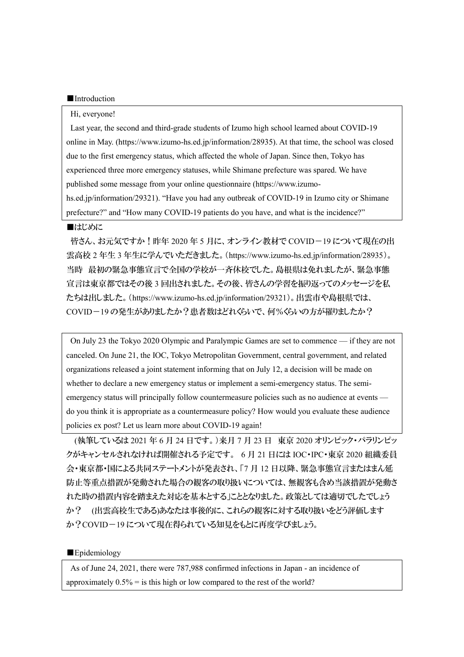### ■Introduction

#### Hi, everyone!

Last year, the second and third-grade students of Izumo high school learned about COVID-19 online in May. (https://www.izumo-hs.ed.jp/information/28935). At that time, the school was closed due to the first emergency status, which affected the whole of Japan. Since then, Tokyo has experienced three more emergency statuses, while Shimane prefecture was spared. We have published some message from your online questionnaire (https://www.izumohs.ed.jp/information/29321). "Have you had any outbreak of COVID-19 in Izumo city or Shimane prefecture?" and "How many COVID-19 patients do you have, and what is the incidence?"

### ■はじめに

皆さん、お元気ですか!昨年 2020 年 5 月に、オンライン教材で COVID-19 について現在の出 雲高校 2 年生 3 年生に学んでいただきました。(https://www.izumo-hs.ed.jp/information/28935)。 当時 最初の緊急事態宣言で全国の学校が一斉休校でした。島根県は免れましたが、緊急事態 宣言は東京都ではその後 3 回出されました。その後、皆さんの学習を振り返ってのメッセージを私 たちは出しました。(https://www.izumo-hs.ed.jp/information/29321)。出雲市や島根県では、 COVID-19 の発生がありましたか?患者数はどれくらいで、何%くらいの方が罹りましたか?

On July 23 the Tokyo 2020 Olympic and Paralympic Games are set to commence — if they are not canceled. On June 21, the IOC, Tokyo Metropolitan Government, central government, and related organizations released a joint statement informing that on July 12, a decision will be made on whether to declare a new emergency status or implement a semi-emergency status. The semiemergency status will principally follow countermeasure policies such as no audience at events do you think it is appropriate as a countermeasure policy? How would you evaluate these audience policies ex post? Let us learn more about COVID-19 again!

(執筆しているは 2021 年 6 月 24 日です。)来月 7 月 23 日 東京 2020 オリンピック・パラリンピッ クがキャンセルされなければ開催される予定です。 6 月 21 日には IOC・IPC・東京 2020 組織委員 会・東京都・国による共同ステートメントが発表され、「7 月 12 日以降、緊急事態宣言またはまん延 防止等重点措置が発動された場合の観客の取り扱いについては、無観客も含め当該措置が発動さ れた時の措置内容を踏まえた対応を基本とする」こととなりました。政策としては適切でしたでしょう か? (出雲高校生である)あなたは事後的に、これらの観客に対する取り扱いをどう評価します か?COVID-19 について現在得られている知見をもとに再度学びましょう。

# ■Epidemiology

As of June 24, 2021, there were 787,988 confirmed infections in Japan - an incidence of approximately  $0.5\%$  = is this high or low compared to the rest of the world?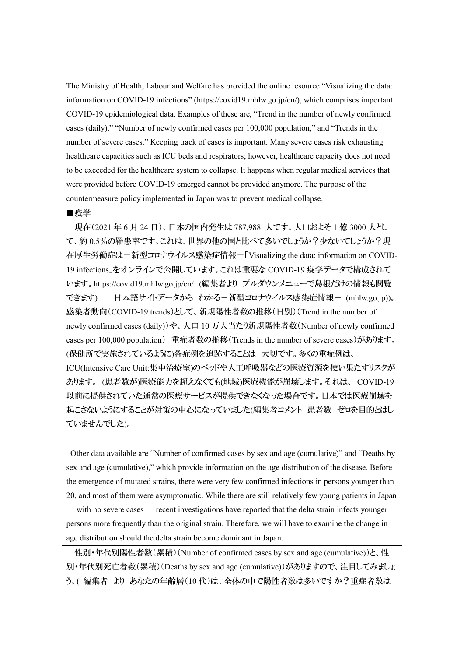The Ministry of Health, Labour and Welfare has provided the online resource "Visualizing the data: information on COVID-19 infections" (https://covid19.mhlw.go.jp/en/), which comprises important COVID-19 epidemiological data. Examples of these are, "Trend in the number of newly confirmed cases (daily)," "Number of newly confirmed cases per 100,000 population," and "Trends in the number of severe cases." Keeping track of cases is important. Many severe cases risk exhausting healthcare capacities such as ICU beds and respirators; however, healthcare capacity does not need to be exceeded for the healthcare system to collapse. It happens when regular medical services that were provided before COVID-19 emerged cannot be provided anymore. The purpose of the countermeasure policy implemented in Japan was to prevent medical collapse.

### ■疫学

現在(2021 年 6 月 24 日)、日本の国内発生は 787,988 人です。人口およそ 1 億 3000 人とし て、約0.5%の罹患率です。これは、世界の他の国と比べて多いでしょうか?少ないでしょうか?現 在厚生労働症は-新型コロナウイルス感染症情報-「Visualizing the data: information on COVID-19 infections」をオンラインで公開しています。これは重要な COVID-19 疫学データで構成されて います。https://covid19.mhlw.go.jp/en/ (編集者より プルダウンメニューで島根だけの情報も閲覧 できます) 日本語サイトデータから わかる-新型コロナウイルス感染症情報- (mhlw.go.jp))。 感染者動向(COVID-19 trends)として、新規陽性者数の推移(日別)(Trend in the number of newly confirmed cases (daily))や、人口 10 万人当たり新規陽性者数(Number of newly confirmed cases per 100,000 population) 重症者数の推移 (Trends in the number of severe cases)があります。 (保健所で実施されているように)各症例を追跡することは 大切です。多くの重症例は、 ICU(Intensive Care Unit:集中治療室)のベッドや人工呼吸器などの医療資源を使い果たすリスクが あります。 (患者数が)医療能力を超えなくても(地域)医療機能が崩壊します。それは、 COVID-19 以前に提供されていた通常の医療サービスが提供できなくなった場合です。日本では医療崩壊を 起こさないようにすることが対策の中心になっていました(編集者コメント 患者数 ゼロを目的とはし ていませんでした)。

Other data available are "Number of confirmed cases by sex and age (cumulative)" and "Deaths by sex and age (cumulative)," which provide information on the age distribution of the disease. Before the emergence of mutated strains, there were very few confirmed infections in persons younger than 20, and most of them were asymptomatic. While there are still relatively few young patients in Japan — with no severe cases — recent investigations have reported that the delta strain infects younger persons more frequently than the original strain. Therefore, we will have to examine the change in age distribution should the delta strain become dominant in Japan.

性別・年代別陽性者数(累積)(Number of confirmed cases by sex and age (cumulative))と、性 別・年代別死亡者数(累積)(Deaths by sex and age (cumulative))がありますので、注目してみましょ う。( 編集者 より あなたの年齢層(10 代)は、全体の中で陽性者数は多いですか?重症者数は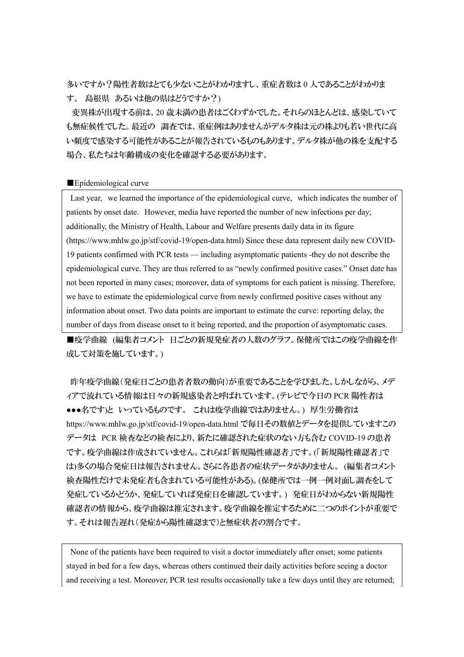多いですか?陽性者数はとても少ないことがわかりますし、重症者数は 0 人であることがわかりま す。 島根県 あるいは他の県はどうですか?)

変異株が出現する前は、20 歳未満の患者はごくわずかでした。それらのほとんどは、感染していて も無症候性でした。最近の 調査では、重症例はありませんがデルタ株は元の株よりも若い世代に高 い頻度で感染する可能性があることが報告されているものもあります。デルタ株が他の株を支配する 場合、私たちは年齢構成の変化を確認する必要があります。

### ■Epidemiological curve

Last year, we learned the importance of the epidemiological curve, which indicates the number of patients by onset date. However, media have reported the number of new infections per day; additionally, the Ministry of Health, Labour and Welfare presents daily data in its figure (https://www.mhlw.go.jp/stf/covid-19/open-data.html) Since these data represent daily new COVID-19 patients confirmed with PCR tests — including asymptomatic patients -they do not describe the epidemiological curve. They are thus referred to as "newly confirmed positive cases." Onset date has not been reported in many cases; moreover, data of symptoms for each patient is missing. Therefore, we have to estimate the epidemiological curve from newly confirmed positive cases without any information about onset. Two data points are important to estimate the curve: reporting delay, the number of days from disease onset to it being reported, and the proportion of asymptomatic cases.

■疫学曲線 (編集者コメント 日ごとの新規発症者の人数のグラフ。保健所ではこの疫学曲線を作 成して対策を施しています。)

昨年疫学曲線(発症日ごとの患者者数の動向)が重要であることを学びました。しかしながら、メデ ィアで流れている情報は日々の新規感染者と呼ばれています。(テレビで今日の PCR 陽性者は ●●●名です)と いっているものです。 これは疫学曲線ではありません。) 厚生労働省は https://www.mhlw.go.jp/stf/covid-19/open-data.html で毎日その数値とデータを提供していますこの データは PCR 検査などの検査により、新たに確認された症状のない方も含む COVID-19 の患者 です。疫学曲線は作成されていません。これらは「新規陽性確認者」です。(「新規陽性確認者」で は)多くの場合発症日は報告されません。さらに各患者の症状データがありません。 (編集者コメント 検査陽性だけで未発症者も含まれている可能性がある)。(保健所では一例一例対面し調査をして 発症しているかどうか、発症していれば発症日を確認しています。) 発症日がわからない新規陽性 確認者の情報から、疫学曲線は推定されます。疫学曲線を推定するために二つのポイントが重要で す。それは報告遅れ(発症から陽性確認まで)と無症状者の割合です。

None of the patients have been required to visit a doctor immediately after onset; some patients stayed in bed for a few days, whereas others continued their daily activities before seeing a doctor and receiving a test. Moreover, PCR test results occasionally take a few days until they are returned;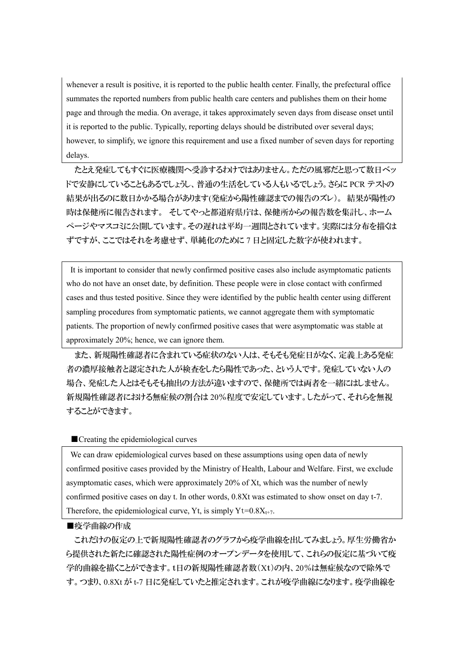whenever a result is positive, it is reported to the public health center. Finally, the prefectural office summates the reported numbers from public health care centers and publishes them on their home page and through the media. On average, it takes approximately seven days from disease onset until it is reported to the public. Typically, reporting delays should be distributed over several days; however, to simplify, we ignore this requirement and use a fixed number of seven days for reporting delays.

たとえ発症してもすぐに医療機関へ受診するわけではありません。ただの風邪だと思って数日ベッ ドで安静にしていることもあるでしょうし、普通の生活をしている人もいるでしょう。さらに PCR テストの 結果が出るのに数日かかる場合があります(発症から陽性確認までの報告のズレ)。 結果が陽性の 時は保健所に報告されます。 そしてやっと都道府県庁は、保健所からの報告数を集計し、ホーム ページやマスコミに公開しています。その遅れは平均一週間とされています。実際には分布を描くは ずですが、ここではそれを考慮せず、単純化のために 7 日と固定した数字が使われます。

It is important to consider that newly confirmed positive cases also include asymptomatic patients who do not have an onset date, by definition. These people were in close contact with confirmed cases and thus tested positive. Since they were identified by the public health center using different sampling procedures from symptomatic patients, we cannot aggregate them with symptomatic patients. The proportion of newly confirmed positive cases that were asymptomatic was stable at approximately 20%; hence, we can ignore them.

また、新規陽性確認者に含まれている症状のない人は、そもそも発症日がなく、定義上ある発症 者の濃厚接触者と認定された人が検査をしたら陽性であった、という人です。発症していない人の 場合、発症した人とはそもそも抽出の方法が違いますので、保健所では両者を一緒にはしません。 新規陽性確認者における無症候の割合は 20%程度で安定しています。したがって、それらを無視 することができます。

## ■ Creating the epidemiological curves

We can draw epidemiological curves based on these assumptions using open data of newly confirmed positive cases provided by the Ministry of Health, Labour and Welfare. First, we exclude asymptomatic cases, which were approximately 20% of Xt, which was the number of newly confirmed positive cases on day t. In other words, 0.8Xt was estimated to show onset on day t-7. Therefore, the epidemiological curve, Yt, is simply  $Yt=0.8X_{t+7}$ .

# ■疫学曲線の作成

これだけの仮定の上で新規陽性確認者のグラフから疫学曲線を出してみましょう。厚生労働省か ら提供された新たに確認された陽性症例のオープンデータを使用して、これらの仮定に基づいて疫 学的曲線を描くことができます。t日の新規陽性確認者数(Xt)の内、20%は無症候なので除外で す。つまり、0.8Xt が t-7 日に発症していたと推定されます。これが疫学曲線になります。疫学曲線を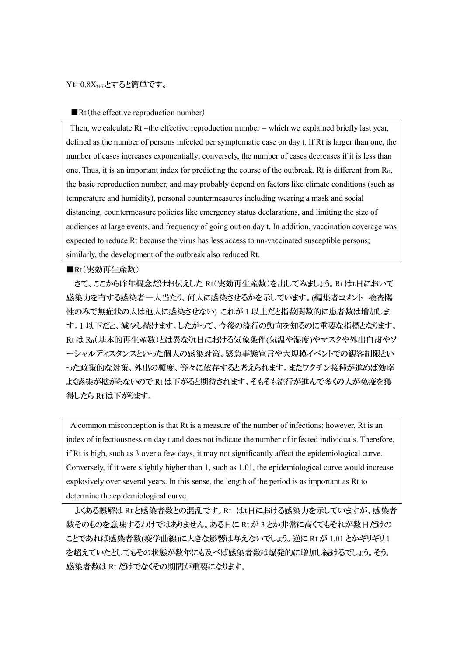### $Yt=0.8X_{t+7}$ とすると簡単です。

■Rt(the effective reproduction number)

Then, we calculate Rt =the effective reproduction number = which we explained briefly last year, defined as the number of persons infected per symptomatic case on day t. If Rt is larger than one, the number of cases increases exponentially; conversely, the number of cases decreases if it is less than one. Thus, it is an important index for predicting the course of the outbreak. Rt is different from  $R_0$ , the basic reproduction number, and may probably depend on factors like climate conditions (such as temperature and humidity), personal countermeasures including wearing a mask and social distancing, countermeasure policies like emergency status declarations, and limiting the size of audiences at large events, and frequency of going out on day t. In addition, vaccination coverage was expected to reduce Rt because the virus has less access to un-vaccinated susceptible persons; similarly, the development of the outbreak also reduced Rt.

■Rt(実効再生産数)

さて、ここから昨年概念だけお伝えした Rt(実効再生産数)を出してみましょう。Rt はt日において 感染力を有する感染者一人当たり、何人に感染させるかを示しています。(編集者コメント 検査陽 性のみで無症状の人は他人に感染させない) これが 1 以上だと指数関数的に患者数は増加しま す。1 以下だと、減少し続けます。したがって、今後の流行の動向を知るのに重要な指標となります。 Rt は R0(基本的再生産数)とは異なりt日における気象条件(気温や湿度)やマスクや外出自粛やソ ーシャルディスタンスといった個人の感染対策、緊急事態宣言や大規模イベントでの観客制限とい った政策的な対策、外出の頻度、等々に依存すると考えられます。またワクチン接種が進めば効率 よく感染が拡がらないので Rt は下がると期待されます。そもそも流行が進んで多くの人が免疫を獲 得したら Rt は下がります。

A common misconception is that Rt is a measure of the number of infections; however, Rt is an index of infectiousness on day t and does not indicate the number of infected individuals. Therefore, if Rt is high, such as 3 over a few days, it may not significantly affect the epidemiological curve. Conversely, if it were slightly higher than 1, such as 1.01, the epidemiological curve would increase explosively over several years. In this sense, the length of the period is as important as Rt to determine the epidemiological curve.

よくある誤解は Rt と感染者数との混乱です。Rt はt日における感染力を示していますが、感染者 数そのものを意味するわけではありません。ある日に Rt が 3 とか非常に高くてもそれが数日だけの ことであれば感染者数(疫学曲線)に大きな影響は与えないでしょう。逆に Rt が 1.01 とかギリギリ 1 を超えていたとしてもその状態が数年にも及べば感染者数は爆発的に増加し続けるでしょう。そう、 感染者数は Rt だけでなくその期間が重要になります。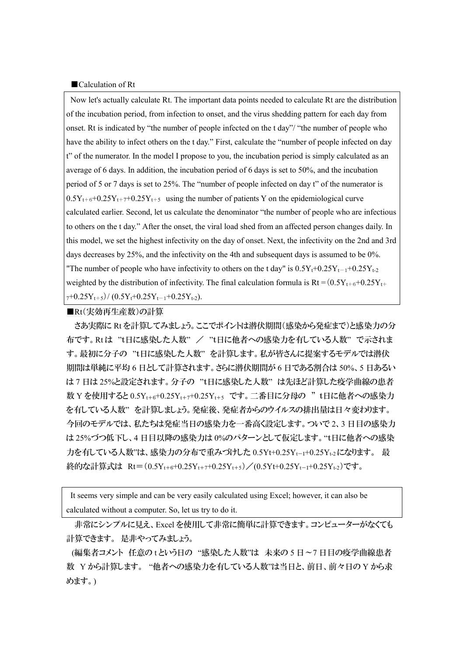#### ■Calculation of Rt

Now let's actually calculate Rt. The important data points needed to calculate Rt are the distribution of the incubation period, from infection to onset, and the virus shedding pattern for each day from onset. Rt is indicated by "the number of people infected on the t day"/ "the number of people who have the ability to infect others on the t day." First, calculate the "number of people infected on day t" of the numerator. In the model I propose to you, the incubation period is simply calculated as an average of 6 days. In addition, the incubation period of 6 days is set to 50%, and the incubation period of 5 or 7 days is set to 25%. The "number of people infected on day t" of the numerator is  $0.5Y_{t+6}+0.25Y_{t+7}+0.25Y_{t+5}$  using the number of patients Y on the epidemiological curve calculated earlier. Second, let us calculate the denominator "the number of people who are infectious to others on the t day." After the onset, the viral load shed from an affected person changes daily. In this model, we set the highest infectivity on the day of onset. Next, the infectivity on the 2nd and 3rd days decreases by 25%, and the infectivity on the 4th and subsequent days is assumed to be 0%. "The number of people who have infectivity to others on the t day" is  $0.5Y_t+0.25Y_{t-1}+0.25Y_{t-2}$ weighted by the distribution of infectivity. The final calculation formula is  $Rt = (0.5Y_{t+6}+0.25Y_{t+6}$  $7+0.25Y_{t+5}$ /(0.5Y<sub>t</sub>+0.25Y<sub>t-1</sub>+0.25Y<sub>t-2</sub>).

■Rt(実効再生産数)の計算

さあ実際に Rt を計算してみましょう。ここでポイントは潜伏期間(感染から発症まで)と感染力の分 布です。Rt は "t日に感染した人数" / "t日に他者への感染力を有している人数" で示されま す。最初に分子の "t日に感染した人数"を計算します。私が皆さんに提案するモデルでは潜伏 期間は単純に平均 6 日として計算されます。さらに潜伏期間が 6 日である割合は 50%、5 日あるい は 7 日は 25%と設定されます。分子の "t日に感染した人数" は先ほど計算した疫学曲線の患者 数 Y を使用すると 0.5Yt+6+0.25Yt+7+0.25Yt+5 です。二番目に分母の "t日に他者への感染力 を有している人数" を計算しましょう。発症後、発症者からのウイルスの排出量は日々変わります。 今回のモデルでは、私たちは発症当日の感染力を一番高く設定します。ついで 2、3 日目の感染力 は 25%づつ低下し、4 日目以降の感染力は 0%のパターンとして仮定します。"t日に他者への感染 力を有している人数"は、感染力の分布で重みづけした 0.5Yt+0.25Y<sup>t</sup>-1+0.25Yt-2 になります。 最 終的な計算式は Rt= $(0.5Y_{t+6}+0.25Y_{t+7}+0.25Y_{t+5})/(0.5Y_{t}+0.25Y_{t-1}+0.25Y_{t-2})$ です。

It seems very simple and can be very easily calculated using Excel; however, it can also be calculated without a computer. So, let us try to do it.

非常にシンプルに見え、Excel を使用して非常に簡単に計算できます。コンピューターがなくても 計算できます。 是非やってみましょう。

(編集者コメント 任意の t という日の "感染した人数"は 未来の 5 日~7 日目の疫学曲線患者 数 Y から計算します。 "他者への感染力を有している人数"は当日と、前日、前々日の Y から求 めます。)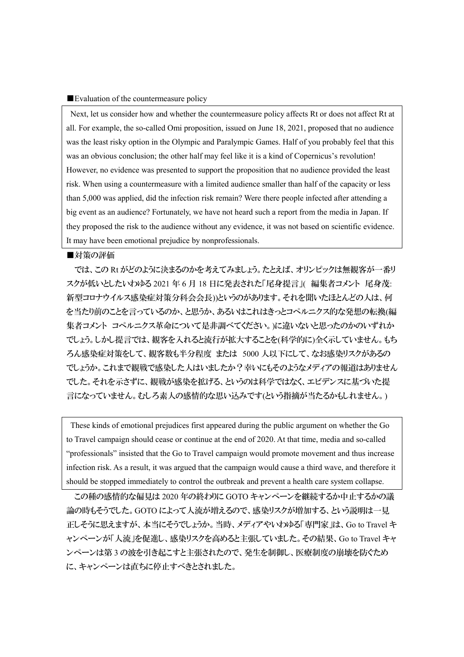#### ■Evaluation of the countermeasure policy

Next, let us consider how and whether the countermeasure policy affects Rt or does not affect Rt at all. For example, the so-called Omi proposition, issued on June 18, 2021, proposed that no audience was the least risky option in the Olympic and Paralympic Games. Half of you probably feel that this was an obvious conclusion; the other half may feel like it is a kind of Copernicus's revolution! However, no evidence was presented to support the proposition that no audience provided the least risk. When using a countermeasure with a limited audience smaller than half of the capacity or less than 5,000 was applied, did the infection risk remain? Were there people infected after attending a big event as an audience? Fortunately, we have not heard such a report from the media in Japan. If they proposed the risk to the audience without any evidence, it was not based on scientific evidence. It may have been emotional prejudice by nonprofessionals.

#### ■対策の評価

では、この Rt がどのように決まるのかを考えてみましょう。たとえば、オリンピックは無観客が一番リ スクが低いとしたいわゆる 2021 年 6 月 18 日に発表された「尾身提言」( 編集者コメント 尾身茂: 新型コロナウイルス感染症対策分科会会長))というのがあります。それを聞いたほとんどの人は、何 を当たり前のことを言っているのか、と思うか、あるいはこれはきっとコペルニクス的な発想の転換(編 集者コメント コペルニクス革命について是非調べてください。)に違いないと思ったのかのいずれか でしょう。しかし提言では、観客を入れると流行が拡大することを(科学的に)全く示していません。もち ろん感染症対策をして、観客数も半分程度 または 5000 人以下にして、なお感染リスクがあるの でしょうか。これまで観戦で感染した人はいましたか?幸いにもそのようなメディアの報道はありません でした。それを示さずに、観戦が感染を拡げる、というのは科学ではなく、エビデンスに基づいた提 言になっていません。むしろ素人の感情的な思い込みです(という指摘が当たるかもしれません。)

These kinds of emotional prejudices first appeared during the public argument on whether the Go to Travel campaign should cease or continue at the end of 2020. At that time, media and so-called "professionals" insisted that the Go to Travel campaign would promote movement and thus increase infection risk. As a result, it was argued that the campaign would cause a third wave, and therefore it should be stopped immediately to control the outbreak and prevent a health care system collapse.

この種の感情的な偏見は 2020 年の終わりに GOTO キャンペーンを継続するか中止するかの議 論の時もそうでした。GOTO によって人流が増えるので、感染リスクが増加する、という説明は一見 正しそうに思えますが、本当にそうでしょうか。当時、メディアやいわゆる「専門家」は、Go to Travel キ ャンペーンが「人流」を促進し、感染リスクを高めると主張していました。その結果、Go to Travel キャ ンペーンは第 3 の波を引き起こすと主張されたので、発生を制御し、医療制度の崩壊を防ぐため に、キャンペーンは直ちに停止すべきとされました。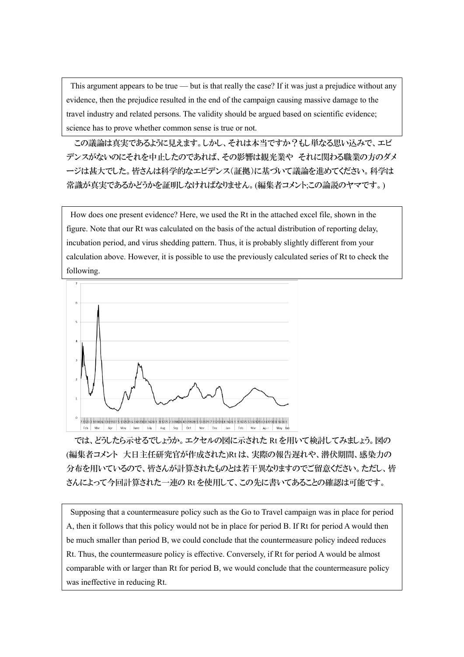This argument appears to be true — but is that really the case? If it was just a prejudice without any evidence, then the prejudice resulted in the end of the campaign causing massive damage to the travel industry and related persons. The validity should be argued based on scientific evidence; science has to prove whether common sense is true or not.

この議論は真実であるように見えます。しかし、それは本当ですか?もし単なる思い込みで、エビ デンスがないのにそれを中止したのであれば、その影響は観光業や それに関わる職業の方のダメ ージは甚大でした。皆さんは科学的なエビデンス(証拠)に基づいて議論を進めてください。科学は 常識が真実であるかどうかを証明しなければなりません。(編集者コメント;この論説のヤマです。)

How does one present evidence? Here, we used the Rt in the attached excel file, shown in the figure. Note that our Rt was calculated on the basis of the actual distribution of reporting delay, incubation period, and virus shedding pattern. Thus, it is probably slightly different from your calculation above. However, it is possible to use the previously calculated series of Rt to check the following.



では、どうしたら示せるでしょうか。エクセルの図に示された Rt を用いて検討してみましょう。図の (編集者コメント 大日主任研究官が作成された)Rt は、実際の報告遅れや、潜伏期間、感染力の 分布を用いているので、皆さんが計算されたものとは若干異なりますのでご留意ください。ただし、皆 さんによって今回計算された一連の Rt を使用して、この先に書いてあることの確認は可能です。

Supposing that a countermeasure policy such as the Go to Travel campaign was in place for period A, then it follows that this policy would not be in place for period B. If Rt for period A would then be much smaller than period B, we could conclude that the countermeasure policy indeed reduces Rt. Thus, the countermeasure policy is effective. Conversely, if Rt for period A would be almost comparable with or larger than Rt for period B, we would conclude that the countermeasure policy was ineffective in reducing Rt.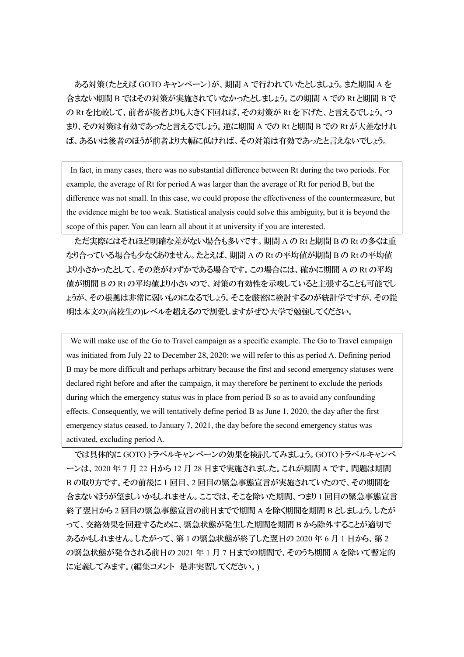ある対策(たとえば GOTO キャンペーン)が、期間 A で行われていたとしましょう。また期間 A を 含まない期間 B ではその対策が実施されていなかったとしましょう。この期間 A での Rt と期間 B で の Rt を比較して、前者が後者よりも大きく下回れば、その対策が Rt を下げた、と言えるでしょう。つ まり、その対策は有効であったと言えるでしょう。逆に期間 A での Rt と期間 B での Rt が大差なけれ ば、あるいは後者のほうが前者より大幅に低ければ、その対策は有効であったと言えないでしょう。

In fact, in many cases, there was no substantial difference between Rt during the two periods. For example, the average of Rt for period A was larger than the average of Rt for period B, but the difference was not small. In this case, we could propose the effectiveness of the countermeasure, but the evidence might be too weak. Statistical analysis could solve this ambiguity, but it is beyond the scope of this paper. You can learn all about it at university if you are interested.

ただ実際にはそれほど明確な差がない場合も多いです。期間 A の Rt と期間 B の Rt の多くは重 なり合っている場合も少なくありません。たとえば、期間 A の Rt の平均値が期間 B の Rt の平均値 より小さかったとして、その差がわずかである場合です。この場合には、確かに期間 A の Rt の平均 値が期間 B の Rt の平均値より小さいので、対策の有効性を示唆していると主張することも可能でし ょうが、その根拠は非常に弱いものになるでしょう。そこを厳密に検討するのが統計学ですが、その説 明は本文の(高校生の)レベルを超えるので割愛しますがぜひ大学で勉強してください。

We will make use of the Go to Travel campaign as a specific example. The Go to Travel campaign was initiated from July 22 to December 28, 2020; we will refer to this as period A. Defining period B may be more difficult and perhaps arbitrary because the first and second emergency statuses were declared right before and after the campaign, it may therefore be pertinent to exclude the periods during which the emergency status was in place from period B so as to avoid any confounding effects. Consequently, we will tentatively define period B as June 1, 2020, the day after the first emergency status ceased, to January 7, 2021, the day before the second emergency status was activated, excluding period A.

では具体的に GOTO トラベルキャンペーンの効果を検討してみましょう。GOTO トラベルキャンペ ーンは、2020 年 7 月 22 日から 12 月 28 日まで実施されました。これが期間 A です。問題は期間 B の取り方です。その前後に 1 回目、2 回目の緊急事態宣言が実施されていたので、その期間を 含まないほうが望ましいかもしれません。ここでは、そこを除いた期間、つまり 1 回目の緊急事態宣言 終了翌日から 2 回目の緊急事態宣言の前日までで期間 A を除く期間を期間 B としましょう。したが って、交絡効果を回避するために、緊急状態が発生した期間を期間 B から除外することが適切で あるかもしれません。したがって、第 1 の緊急状態が終了した翌日の 2020 年 6 月 1 日から、第 2 の緊急状態が発令される前日の 2021 年 1 月 7 日までの期間で、そのうち期間 A を除いて暫定的 に定義してみます。(編集コメント 是非実習してください。)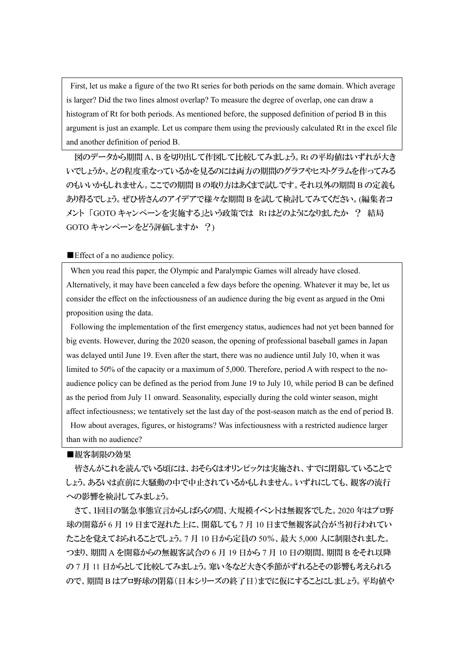First, let us make a figure of the two Rt series for both periods on the same domain. Which average is larger? Did the two lines almost overlap? To measure the degree of overlap, one can draw a histogram of Rt for both periods. As mentioned before, the supposed definition of period B in this argument is just an example. Let us compare them using the previously calculated Rt in the excel file and another definition of period B.

図のデータから期間 A、B を切り出して作図して比較してみましょう。Rt の平均値はいずれが大き いでしょうか。どの程度重なっているかを見るのには両方の期間のグラフやヒストグラムを作ってみる のもいいかもしれません。ここでの期間 B の取り方はあくまで試しです。それ以外の期間 B の定義も あり得るでしょう。ぜひ皆さんのアイデアで様々な期間 B を試して検討してみてください。(編集者コ メント 「GOTO キャンペーンを実施する」という政策では Rt はどのようになりましたか ? 結局 GOTO キャンペーンをどう評価しますか ?)

### ■Effect of a no audience policy.

When you read this paper, the Olympic and Paralympic Games will already have closed. Alternatively, it may have been canceled a few days before the opening. Whatever it may be, let us consider the effect on the infectiousness of an audience during the big event as argued in the Omi proposition using the data.

Following the implementation of the first emergency status, audiences had not yet been banned for big events. However, during the 2020 season, the opening of professional baseball games in Japan was delayed until June 19. Even after the start, there was no audience until July 10, when it was limited to 50% of the capacity or a maximum of 5,000. Therefore, period A with respect to the noaudience policy can be defined as the period from June 19 to July 10, while period B can be defined as the period from July 11 onward. Seasonality, especially during the cold winter season, might affect infectiousness; we tentatively set the last day of the post-season match as the end of period B. How about averages, figures, or histograms? Was infectiousness with a restricted audience larger than with no audience?

### ■観客制限の効果

皆さんがこれを読んでいる頃には、おそらくはオリンピックは実施され、すでに閉幕していることで しょう。あるいは直前に大騒動の中で中止されているかもしれません。いずれにしても、観客の流行 への影響を検討してみましょう。

さて、1回目の緊急事態宣言からしばらくの間、大規模イベントは無観客でした。2020 年はプロ野 球の開幕が 6月 19 日まで遅れた上に、開幕しても 7 月 10 日まで無観客試合が当初行われてい たことを覚えておられることでしょう。7 月 10 日から定員の 50%、最大 5,000 人に制限されました。 つまり、期間 A を開幕からの無観客試合の 6 月 19 日から 7 月 10 日の期間、期間 B をそれ以降 の7月11日からとして比較してみましょう。寒い冬など大きく季節がずれるとその影響も考えられる ので、期間 B はプロ野球の閉幕(日本シリーズの終了日)までに仮にすることにしましょう。平均値や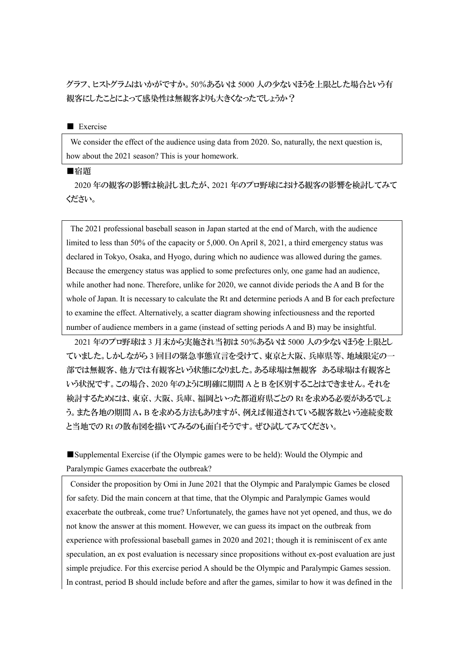グラフ、ヒストグラムはいかがですか。50%あるいは 5000 人の少ないほうを上限とした場合という有 観客にしたことによって感染性は無観客よりも大きくなったでしょうか?

### ■ Exercise

We consider the effect of the audience using data from 2020. So, naturally, the next question is, how about the 2021 season? This is your homework.

## ■宿題

2020 年の観客の影響は検討しましたが、2021 年のプロ野球における観客の影響を検討してみて ください。

The 2021 professional baseball season in Japan started at the end of March, with the audience limited to less than 50% of the capacity or 5,000. On April 8, 2021, a third emergency status was declared in Tokyo, Osaka, and Hyogo, during which no audience was allowed during the games. Because the emergency status was applied to some prefectures only, one game had an audience, while another had none. Therefore, unlike for 2020, we cannot divide periods the A and B for the whole of Japan. It is necessary to calculate the Rt and determine periods A and B for each prefecture to examine the effect. Alternatively, a scatter diagram showing infectiousness and the reported number of audience members in a game (instead of setting periods A and B) may be insightful.

2021 年のプロ野球は 3 月末から実施され当初は 50%あるいは 5000 人の少ないほうを上限とし ていました。しかしながら 3 回目の緊急事態宣言を受けて、東京と大阪、兵庫県等、地域限定の一 部では無観客、他方では有観客という状態になりました。ある球場は無観客 ある球場は有観客と いう状況です。この場合、2020 年のように明確に期間 A と B を区別することはできません。それを 検討するためには、東京、大阪、兵庫、福岡といった都道府県ごとの Rt を求める必要があるでしょ う。また各地の期間 A,B を求める方法もありますが、例えば報道されている観客数という連続変数 と当地での Rt の散布図を描いてみるのも面白そうです。ぜひ試してみてください。

■Supplemental Exercise (if the Olympic games were to be held): Would the Olympic and Paralympic Games exacerbate the outbreak?

Consider the proposition by Omi in June 2021 that the Olympic and Paralympic Games be closed for safety. Did the main concern at that time, that the Olympic and Paralympic Games would exacerbate the outbreak, come true? Unfortunately, the games have not yet opened, and thus, we do not know the answer at this moment. However, we can guess its impact on the outbreak from experience with professional baseball games in 2020 and 2021; though it is reminiscent of ex ante speculation, an ex post evaluation is necessary since propositions without ex-post evaluation are just simple prejudice. For this exercise period A should be the Olympic and Paralympic Games session. In contrast, period B should include before and after the games, similar to how it was defined in the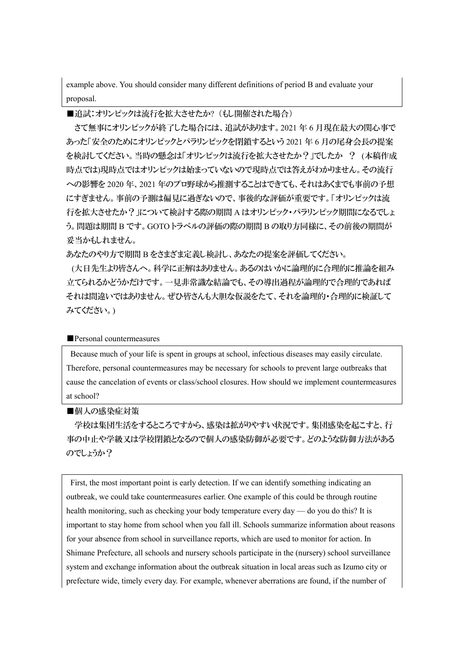example above. You should consider many different definitions of period B and evaluate your proposal.

# ■追試:オリンピックは流行を拡大させたか? (もし開催された場合)

さて無事にオリンピックが終了した場合には、追試があります。2021 年 6 月現在最大の関心事で あった「安全のためにオリンピックとパラリンピックを閉鎖するという 2021 年 6 月の尾身会長の提案 を検討してください。当時の懸念は「オリンピックは流行を拡大させたか?」でしたか ? (本稿作成 時点では)現時点ではオリンピックは始まっていないので現時点では答えがわかりません。その流行 への影響を 2020 年、2021 年のプロ野球から推測することはできても、それはあくまでも事前の予想 にすぎません。事前の予測は偏見に過ぎないので、事後的な評価が重要です。「オリンピックは流 行を拡大させたか?」について検討する際の期間 A はオリンピック・パラリンピック期間になるでしょ う。問題は期間 B です。GOTO トラベルの評価の際の期間 B の取り方同様に、その前後の期間が 妥当かもしれません。

あなたのやり方で期間 B をさまざま定義し検討し、あなたの提案を評価してください。

(大日先生より皆さんへ。科学に正解はありません。あるのはいかに論理的に合理的に推論を組み 立てられるかどうかだけです。一見非常識な結論でも、その導出過程が論理的で合理的であれば それは間違いではありません。ぜひ皆さんも大胆な仮説をたて、それを論理的・合理的に検証して みてください。)

#### ■Personal countermeasures

Because much of your life is spent in groups at school, infectious diseases may easily circulate. Therefore, personal countermeasures may be necessary for schools to prevent large outbreaks that cause the cancelation of events or class/school closures. How should we implement countermeasures at school?

### ■個人の感染症対策

学校は集団生活をするところですから、感染は拡がりやすい状況です。集団感染を起こすと、行 事の中止や学級又は学校閉鎖となるので個人の感染防御が必要です。どのような防御方法がある のでしょうか?

First, the most important point is early detection. If we can identify something indicating an outbreak, we could take countermeasures earlier. One example of this could be through routine health monitoring, such as checking your body temperature every day — do you do this? It is important to stay home from school when you fall ill. Schools summarize information about reasons for your absence from school in surveillance reports, which are used to monitor for action. In Shimane Prefecture, all schools and nursery schools participate in the (nursery) school surveillance system and exchange information about the outbreak situation in local areas such as Izumo city or prefecture wide, timely every day. For example, whenever aberrations are found, if the number of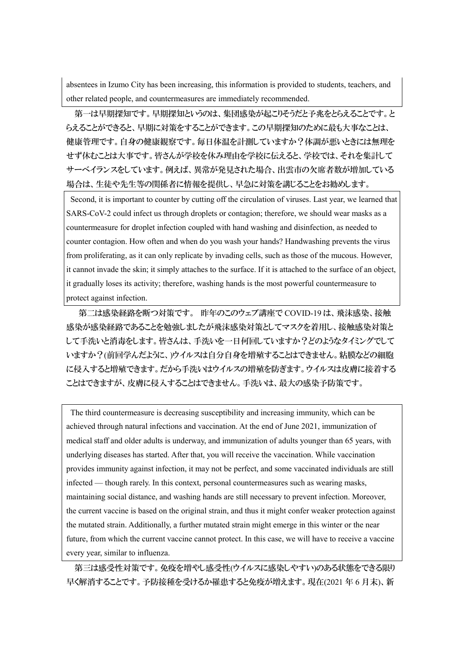absentees in Izumo City has been increasing, this information is provided to students, teachers, and other related people, and countermeasures are immediately recommended.

第一は早期探知です。早期探知というのは、集団感染が起こりそうだと予兆をとらえることです。と らえることができると、早期に対策をすることができます。この早期探知のために最も大事なことは、 健康管理です。自身の健康観察です。毎日体温を計測していますか?体調が悪いときには無理を せず休むことは大事です。皆さんが学校を休み理由を学校に伝えると、学校では、それを集計して サーベイランスをしています。例えば、異常が発見された場合、出雲市の欠席者数が増加している 場合は、生徒や先生等の関係者に情報を提供し、早急に対策を講じることをお勧めします。

Second, it is important to counter by cutting off the circulation of viruses. Last year, we learned that SARS-CoV-2 could infect us through droplets or contagion; therefore, we should wear masks as a countermeasure for droplet infection coupled with hand washing and disinfection, as needed to counter contagion. How often and when do you wash your hands? Handwashing prevents the virus from proliferating, as it can only replicate by invading cells, such as those of the mucous. However, it cannot invade the skin; it simply attaches to the surface. If it is attached to the surface of an object, it gradually loses its activity; therefore, washing hands is the most powerful countermeasure to protect against infection.

第二は感染経路を断つ対策です。 昨年のこのウェブ講座で COVID-19 は、飛沫感染、接触 感染が感染経路であることを勉強しましたが飛沫感染対策としてマスクを着用し、接触感染対策と して手洗いと消毒をします。皆さんは、手洗いを一日何回していますか?どのようなタイミングでして いますか?(前回学んだように、)ウイルスは自分自身を増殖することはできません。粘膜などの細胞 に侵入すると増殖できます。だから手洗いはウイルスの増殖を防ぎます。ウイルスは皮膚に接着する ことはできますが、皮膚に侵入することはできません。手洗いは、最大の感染予防策です。

The third countermeasure is decreasing susceptibility and increasing immunity, which can be achieved through natural infections and vaccination. At the end of June 2021, immunization of medical staff and older adults is underway, and immunization of adults younger than 65 years, with underlying diseases has started. After that, you will receive the vaccination. While vaccination provides immunity against infection, it may not be perfect, and some vaccinated individuals are still infected — though rarely. In this context, personal countermeasures such as wearing masks, maintaining social distance, and washing hands are still necessary to prevent infection. Moreover, the current vaccine is based on the original strain, and thus it might confer weaker protection against the mutated strain. Additionally, a further mutated strain might emerge in this winter or the near future, from which the current vaccine cannot protect. In this case, we will have to receive a vaccine every year, similar to influenza.

第三は感受性対策です。免疫を増やし感受性(ウイルスに感染しやすい)のある状態をできる限り 早く解消することです。予防接種を受けるか罹患すると免疫が増えます。現在(2021 年 6 月末)、新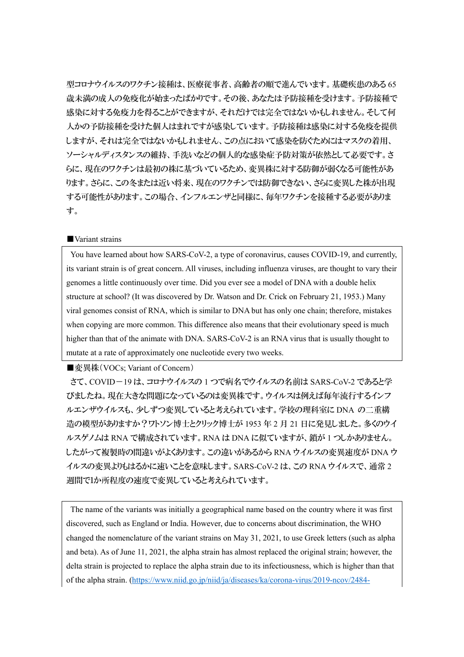型コロナウイルスのワクチン接種は、医療従事者、高齢者の順で進んでいます。基礎疾患のある 65 歳未満の成人の免疫化が始まったばかりです。その後、あなたは予防接種を受けます。予防接種で 感染に対する免疫力を得ることができますが、それだけでは完全ではないかもしれません。そして何 人かの予防接種を受けた個人はまれですが感染しています。予防接種は感染に対する免疫を提供 しますが、それは完全ではないかもしれません、この点において感染を防ぐためにはマスクの着用、 ソーシャルディスタンスの維持、手洗いなどの個人的な感染症予防対策が依然として必要です。さ らに、現在のワクチンは最初の株に基づいているため、変異株に対する防御が弱くなる可能性があ ります。さらに、この冬または近い将来、現在のワクチンでは防御できない、さらに変異した株が出現 する可能性があります。この場合、インフルエンザと同様に、毎年ワクチンを接種する必要がありま す。

### ■ Variant strains

You have learned about how SARS-CoV-2, a type of coronavirus, causes COVID-19, and currently, its variant strain is of great concern. All viruses, including influenza viruses, are thought to vary their genomes a little continuously over time. Did you ever see a model of DNA with a double helix structure at school? (It was discovered by Dr. Watson and Dr. Crick on February 21, 1953.) Many viral genomes consist of RNA, which is similar to DNA but has only one chain; therefore, mistakes when copying are more common. This difference also means that their evolutionary speed is much higher than that of the animate with DNA. SARS-CoV-2 is an RNA virus that is usually thought to mutate at a rate of approximately one nucleotide every two weeks.

■変異株(VOCs; Variant of Concern)

さて、COVID-19 は、コロナウイルスの 1 つで病名でウイルスの名前は SARS-CoV-2 であると学 びましたね。現在大きな問題になっているのは変異株です。ウイルスは例えば毎年流行するインフ ルエンザウイルスも、少しずつ変異していると考えられています。学校の理科室に DNA の二重構 造の模型がありますか?ワトソン博士とクリック博士が 1953 年 2 月 21 日に発見しました。多くのウイ ルスゲノムは RNA で構成されています。RNA は DNA に似ていますが、鎖が 1 つしかありません。 したがって複製時の間違いがよくあります。この違いがあるから RNA ウイルスの変異速度が DNA ウ イルスの変異よりもはるかに速いことを意味します。SARS-CoV-2 は、この RNA ウイルスで、通常 2 週間で1か所程度の速度で変異していると考えられています。

The name of the variants was initially a geographical name based on the country where it was first discovered, such as England or India. However, due to concerns about discrimination, the WHO changed the nomenclature of the variant strains on May 31, 2021, to use Greek letters (such as alpha and beta). As of June 11, 2021, the alpha strain has almost replaced the original strain; however, the delta strain is projected to replace the alpha strain due to its infectiousness, which is higher than that of the alpha strain. [\(https://www.niid.go.jp/niid/ja/diseases/ka/corona-virus/2019-ncov/2484-](https://www.niid.go.jp/niid/ja/diseases/ka/corona-virus/2019-ncov/2484-idsc/10434-covid19-43.html)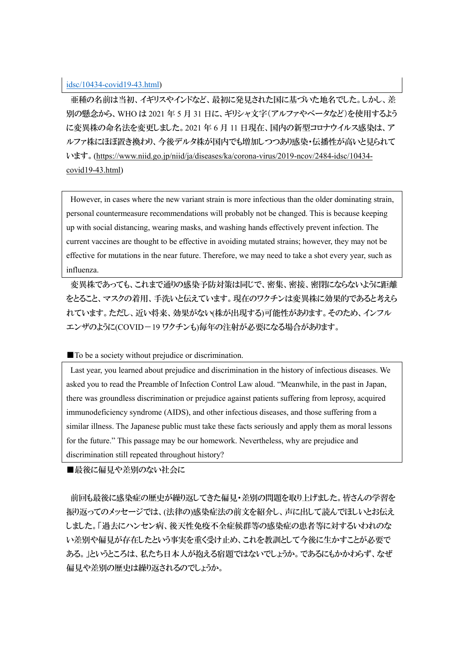# [idsc/10434-covid19-43.html\)](https://www.niid.go.jp/niid/ja/diseases/ka/corona-virus/2019-ncov/2484-idsc/10434-covid19-43.html)

亜種の名前は当初、イギリスやインドなど、最初に発見された国に基づいた地名でした。しかし、差 別の懸念から、WHO は 2021 年 5 月 31 日に、ギリシャ文字(アルファやベータなど)を使用するよう に変異株の命名法を変更しました。2021 年 6 月 11 日現在、国内の新型コロナウイルス感染は、ア ルファ株にほぼ置き換わり、今後デルタ株が国内でも増加しつつあり感染・伝播性が高いと見られて います。[\(https://www.niid.go.jp/niid/ja/diseases/ka/corona-virus/2019-ncov/2484-idsc/10434](https://www.niid.go.jp/niid/ja/diseases/ka/corona-virus/2019-ncov/2484-idsc/10434-covid19-43.html) [covid19-43.html\)](https://www.niid.go.jp/niid/ja/diseases/ka/corona-virus/2019-ncov/2484-idsc/10434-covid19-43.html)

However, in cases where the new variant strain is more infectious than the older dominating strain, personal countermeasure recommendations will probably not be changed. This is because keeping up with social distancing, wearing masks, and washing hands effectively prevent infection. The current vaccines are thought to be effective in avoiding mutated strains; however, they may not be effective for mutations in the near future. Therefore, we may need to take a shot every year, such as influenza.

変異株であっても、これまで通りの感染予防対策は同じで、密集、密接、密閉にならないように距離 をとること、マスクの着用、手洗いと伝えています。現在のワクチンは変異株に効果的であると考えら れています。ただし、近い将来、効果がない(株が出現する)可能性があります。そのため、インフル エンザのように(COVID-19 ワクチンも)毎年の注射が必要になる場合があります。

## ■ To be a society without prejudice or discrimination.

Last year, you learned about prejudice and discrimination in the history of infectious diseases. We asked you to read the Preamble of Infection Control Law aloud. "Meanwhile, in the past in Japan, there was groundless discrimination or prejudice against patients suffering from leprosy, acquired immunodeficiency syndrome (AIDS), and other infectious diseases, and those suffering from a similar illness. The Japanese public must take these facts seriously and apply them as moral lessons for the future." This passage may be our homework. Nevertheless, why are prejudice and discrimination still repeated throughout history?

■最後に偏見や差別のない社会に

前回も最後に感染症の歴史が繰り返してきた偏見・差別の問題を取り上げました。皆さんの学習を 振り返ってのメッセージでは、(法律の)感染症法の前文を紹介し、声に出して読んでほしいとお伝え しました。「過去にハンセン病、後天性免疫不全症候群等の感染症の患者等に対するいわれのな い差別や偏見が存在したという事実を重く受け止め、これを教訓として今後に生かすことが必要で ある。」というところは、私たち日本人が抱える宿題ではないでしょうか。であるにもかかわらず、なぜ 偏見や差別の歴史は繰り返されるのでしょうか。